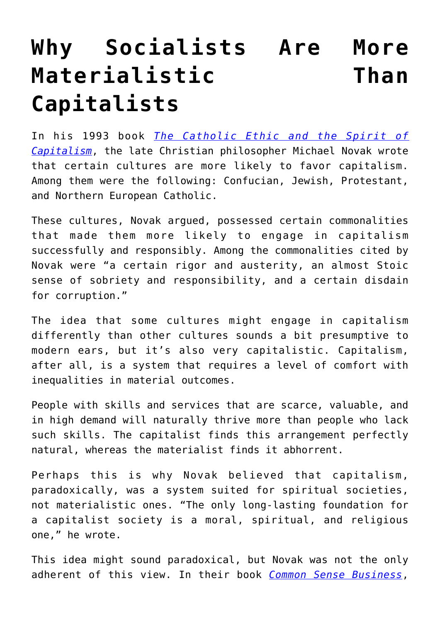## **[Why Socialists Are More](https://intellectualtakeout.org/2017/11/why-socialists-are-more-materialistic-than-capitalists/) [Materialistic Than](https://intellectualtakeout.org/2017/11/why-socialists-are-more-materialistic-than-capitalists/) [Capitalists](https://intellectualtakeout.org/2017/11/why-socialists-are-more-materialistic-than-capitalists/)**

In his 1993 book *[The Catholic Ethic and the Spirit of](https://books.google.com/books/about/The_Catholic_Ethic_and_the_Spirit_of_Cap.html?id=SRvZAAAAMAAJ) [Capitalism](https://books.google.com/books/about/The_Catholic_Ethic_and_the_Spirit_of_Cap.html?id=SRvZAAAAMAAJ)*, the late Christian philosopher Michael Novak wrote that certain cultures are more likely to favor capitalism. Among them were the following: Confucian, Jewish, Protestant, and Northern European Catholic.

These cultures, Novak argued, possessed certain commonalities that made them more likely to engage in capitalism successfully and responsibly. Among the commonalities cited by Novak were "a certain rigor and austerity, an almost Stoic sense of sobriety and responsibility, and a certain disdain for corruption."

The idea that some cultures might engage in capitalism differently than other cultures sounds a bit presumptive to modern ears, but it's also very capitalistic. Capitalism, after all, is a system that requires a level of comfort with inequalities in material outcomes.

People with skills and services that are scarce, valuable, and in high demand will naturally thrive more than people who lack such skills. The capitalist finds this arrangement perfectly natural, whereas the materialist finds it abhorrent.

Perhaps this is why Novak believed that capitalism, paradoxically, was a system suited for spiritual societies, not materialistic ones. "The only long-lasting foundation for a capitalist society is a moral, spiritual, and religious one," he wrote.

This idea might sound paradoxical, but Novak was not the only adherent of this view. In their book *[Common Sense Business](http://amzn.to/2yfhHli)*,